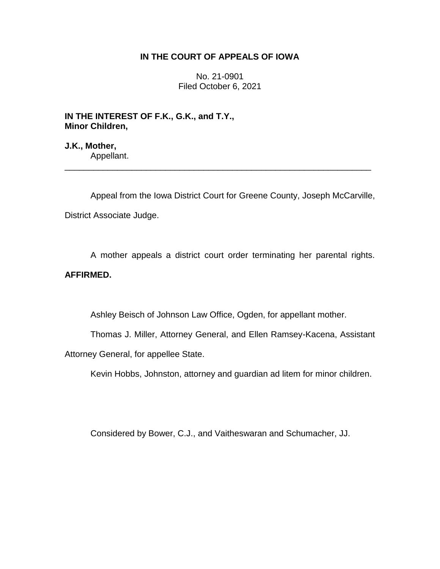## **IN THE COURT OF APPEALS OF IOWA**

No. 21-0901 Filed October 6, 2021

**IN THE INTEREST OF F.K., G.K., and T.Y., Minor Children,**

**J.K., Mother,** Appellant.

Appeal from the Iowa District Court for Greene County, Joseph McCarville, District Associate Judge.

\_\_\_\_\_\_\_\_\_\_\_\_\_\_\_\_\_\_\_\_\_\_\_\_\_\_\_\_\_\_\_\_\_\_\_\_\_\_\_\_\_\_\_\_\_\_\_\_\_\_\_\_\_\_\_\_\_\_\_\_\_\_\_\_

A mother appeals a district court order terminating her parental rights. **AFFIRMED.**

Ashley Beisch of Johnson Law Office, Ogden, for appellant mother.

Thomas J. Miller, Attorney General, and Ellen Ramsey-Kacena, Assistant Attorney General, for appellee State.

Kevin Hobbs, Johnston, attorney and guardian ad litem for minor children.

Considered by Bower, C.J., and Vaitheswaran and Schumacher, JJ.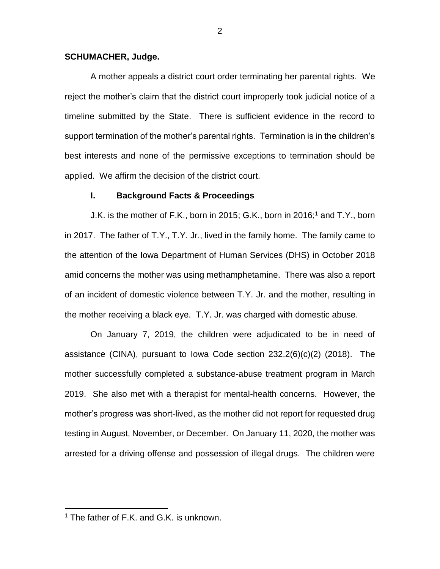#### **SCHUMACHER, Judge.**

A mother appeals a district court order terminating her parental rights. We reject the mother's claim that the district court improperly took judicial notice of a timeline submitted by the State. There is sufficient evidence in the record to support termination of the mother's parental rights. Termination is in the children's best interests and none of the permissive exceptions to termination should be applied. We affirm the decision of the district court.

#### **I. Background Facts & Proceedings**

J.K. is the mother of F.K., born in 2015; G.K., born in 2016; <sup>1</sup> and T.Y., born in 2017. The father of T.Y., T.Y. Jr., lived in the family home. The family came to the attention of the Iowa Department of Human Services (DHS) in October 2018 amid concerns the mother was using methamphetamine. There was also a report of an incident of domestic violence between T.Y. Jr. and the mother, resulting in the mother receiving a black eye. T.Y. Jr. was charged with domestic abuse.

On January 7, 2019, the children were adjudicated to be in need of assistance (CINA), pursuant to Iowa Code section 232.2(6)(c)(2) (2018). The mother successfully completed a substance-abuse treatment program in March 2019. She also met with a therapist for mental-health concerns. However, the mother's progress was short-lived, as the mother did not report for requested drug testing in August, November, or December. On January 11, 2020, the mother was arrested for a driving offense and possession of illegal drugs. The children were

 $\overline{a}$ 

<sup>&</sup>lt;sup>1</sup> The father of F.K. and G.K. is unknown.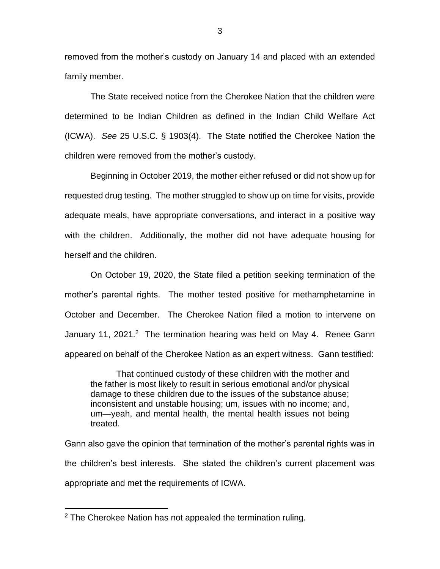removed from the mother's custody on January 14 and placed with an extended family member.

The State received notice from the Cherokee Nation that the children were determined to be Indian Children as defined in the Indian Child Welfare Act (ICWA). *See* 25 U.S.C. § 1903(4). The State notified the Cherokee Nation the children were removed from the mother's custody.

Beginning in October 2019, the mother either refused or did not show up for requested drug testing. The mother struggled to show up on time for visits, provide adequate meals, have appropriate conversations, and interact in a positive way with the children. Additionally, the mother did not have adequate housing for herself and the children.

On October 19, 2020, the State filed a petition seeking termination of the mother's parental rights. The mother tested positive for methamphetamine in October and December. The Cherokee Nation filed a motion to intervene on January 11, 2021.<sup>2</sup> The termination hearing was held on May 4. Renee Gann appeared on behalf of the Cherokee Nation as an expert witness. Gann testified:

That continued custody of these children with the mother and the father is most likely to result in serious emotional and/or physical damage to these children due to the issues of the substance abuse; inconsistent and unstable housing; um, issues with no income; and, um—yeah, and mental health, the mental health issues not being treated.

Gann also gave the opinion that termination of the mother's parental rights was in the children's best interests. She stated the children's current placement was appropriate and met the requirements of ICWA.

 $\overline{a}$ 

 $2$  The Cherokee Nation has not appealed the termination ruling.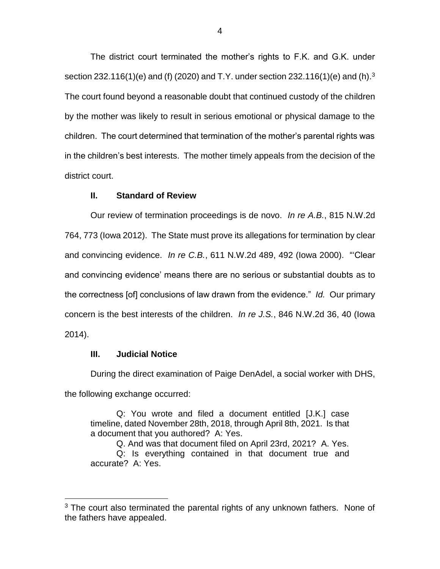The district court terminated the mother's rights to F.K. and G.K. under section 232.116(1)(e) and (f) (2020) and T.Y. under section 232.116(1)(e) and (h).<sup>3</sup> The court found beyond a reasonable doubt that continued custody of the children by the mother was likely to result in serious emotional or physical damage to the children. The court determined that termination of the mother's parental rights was in the children's best interests. The mother timely appeals from the decision of the district court.

#### **II. Standard of Review**

Our review of termination proceedings is de novo. *In re A.B.*, 815 N.W.2d 764, 773 (Iowa 2012). The State must prove its allegations for termination by clear and convincing evidence. *In re C.B.*, 611 N.W.2d 489, 492 (Iowa 2000). "'Clear and convincing evidence' means there are no serious or substantial doubts as to the correctness [of] conclusions of law drawn from the evidence." *Id.* Our primary concern is the best interests of the children. *In re J.S.*, 846 N.W.2d 36, 40 (Iowa 2014).

## **III. Judicial Notice**

 $\overline{a}$ 

During the direct examination of Paige DenAdel, a social worker with DHS, the following exchange occurred:

Q: You wrote and filed a document entitled [J.K.] case timeline, dated November 28th, 2018, through April 8th, 2021. Is that a document that you authored? A: Yes.

Q. And was that document filed on April 23rd, 2021? A. Yes. Q: Is everything contained in that document true and accurate? A: Yes.

 $3$  The court also terminated the parental rights of any unknown fathers. None of the fathers have appealed.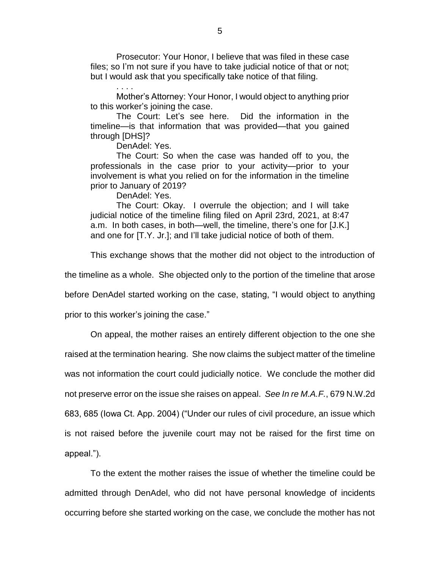Prosecutor: Your Honor, I believe that was filed in these case files; so I'm not sure if you have to take judicial notice of that or not; but I would ask that you specifically take notice of that filing.

Mother's Attorney: Your Honor, I would object to anything prior to this worker's joining the case.

The Court: Let's see here. Did the information in the timeline—is that information that was provided—that you gained through [DHS]?

DenAdel: Yes.

. . . .

The Court: So when the case was handed off to you, the professionals in the case prior to your activity—prior to your involvement is what you relied on for the information in the timeline prior to January of 2019?

DenAdel: Yes.

The Court: Okay. I overrule the objection; and I will take judicial notice of the timeline filing filed on April 23rd, 2021, at 8:47 a.m. In both cases, in both—well, the timeline, there's one for [J.K.] and one for [T.Y. Jr.]; and I'll take judicial notice of both of them.

This exchange shows that the mother did not object to the introduction of

the timeline as a whole. She objected only to the portion of the timeline that arose

before DenAdel started working on the case, stating, "I would object to anything

prior to this worker's joining the case."

On appeal, the mother raises an entirely different objection to the one she

raised at the termination hearing. She now claims the subject matter of the timeline

was not information the court could judicially notice. We conclude the mother did

not preserve error on the issue she raises on appeal. *See In re M.A.F.*, 679 N.W.2d

683, 685 (Iowa Ct. App. 2004) ("Under our rules of civil procedure, an issue which

is not raised before the juvenile court may not be raised for the first time on appeal.").

To the extent the mother raises the issue of whether the timeline could be admitted through DenAdel, who did not have personal knowledge of incidents occurring before she started working on the case, we conclude the mother has not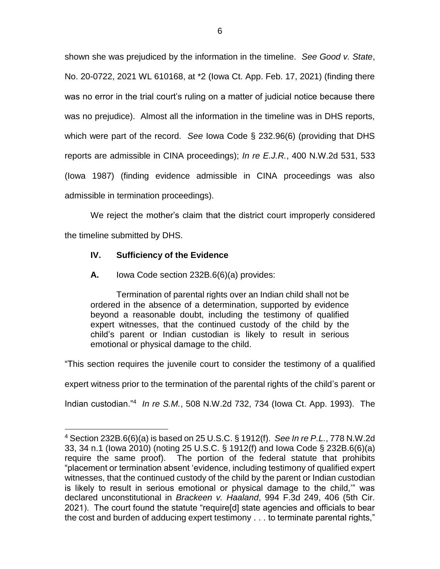shown she was prejudiced by the information in the timeline. *See Good v. State*, No. 20-0722, 2021 WL 610168, at \*2 (Iowa Ct. App. Feb. 17, 2021) (finding there was no error in the trial court's ruling on a matter of judicial notice because there was no prejudice). Almost all the information in the timeline was in DHS reports, which were part of the record. *See* Iowa Code § 232.96(6) (providing that DHS reports are admissible in CINA proceedings); *In re E.J.R.*, 400 N.W.2d 531, 533 (Iowa 1987) (finding evidence admissible in CINA proceedings was also admissible in termination proceedings).

We reject the mother's claim that the district court improperly considered the timeline submitted by DHS.

# **IV. Sufficiency of the Evidence**

 $\overline{a}$ 

**A.** Iowa Code section 232B.6(6)(a) provides:

Termination of parental rights over an Indian child shall not be ordered in the absence of a determination, supported by evidence beyond a reasonable doubt, including the testimony of qualified expert witnesses, that the continued custody of the child by the child's parent or Indian custodian is likely to result in serious emotional or physical damage to the child.

"This section requires the juvenile court to consider the testimony of a qualified

expert witness prior to the termination of the parental rights of the child's parent or

Indian custodian."<sup>4</sup> *In re S.M.*, 508 N.W.2d 732, 734 (Iowa Ct. App. 1993). The

<sup>4</sup> Section 232B.6(6)(a) is based on 25 U.S.C. § 1912(f). *See In re P.L.*, 778 N.W.2d 33, 34 n.1 (Iowa 2010) (noting 25 U.S.C. § 1912(f) and Iowa Code § 232B.6(6)(a) require the same proof). The portion of the federal statute that prohibits "placement or termination absent 'evidence, including testimony of qualified expert witnesses, that the continued custody of the child by the parent or Indian custodian is likely to result in serious emotional or physical damage to the child,'" was declared unconstitutional in *Brackeen v. Haaland*, 994 F.3d 249, 406 (5th Cir. 2021). The court found the statute "require[d] state agencies and officials to bear the cost and burden of adducing expert testimony . . . to terminate parental rights,"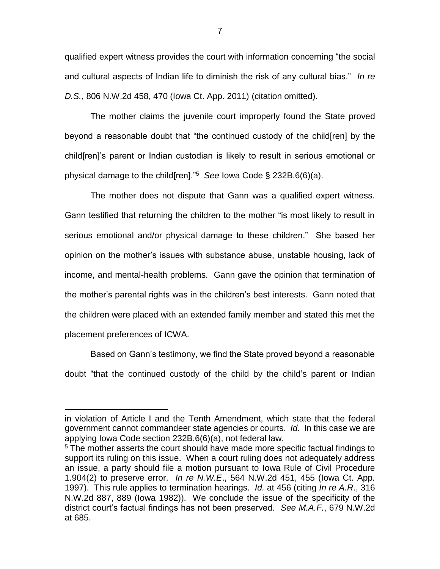qualified expert witness provides the court with information concerning "the social and cultural aspects of Indian life to diminish the risk of any cultural bias." *In re D.S.*, 806 N.W.2d 458, 470 (Iowa Ct. App. 2011) (citation omitted).

The mother claims the juvenile court improperly found the State proved beyond a reasonable doubt that "the continued custody of the child[ren] by the child[ren]'s parent or Indian custodian is likely to result in serious emotional or physical damage to the child[ren]."<sup>5</sup> *See* Iowa Code § 232B.6(6)(a).

The mother does not dispute that Gann was a qualified expert witness. Gann testified that returning the children to the mother "is most likely to result in serious emotional and/or physical damage to these children." She based her opinion on the mother's issues with substance abuse, unstable housing, lack of income, and mental-health problems. Gann gave the opinion that termination of the mother's parental rights was in the children's best interests. Gann noted that the children were placed with an extended family member and stated this met the placement preferences of ICWA.

Based on Gann's testimony, we find the State proved beyond a reasonable doubt "that the continued custody of the child by the child's parent or Indian

 $\overline{a}$ 

in violation of Article I and the Tenth Amendment, which state that the federal government cannot commandeer state agencies or courts. *Id.* In this case we are applying Iowa Code section 232B.6(6)(a), not federal law.

<sup>&</sup>lt;sup>5</sup> The mother asserts the court should have made more specific factual findings to support its ruling on this issue. When a court ruling does not adequately address an issue, a party should file a motion pursuant to Iowa Rule of Civil Procedure 1.904(2) to preserve error. *In re N.W.E*., 564 N.W.2d 451, 455 (Iowa Ct. App. 1997). This rule applies to termination hearings. *Id.* at 456 (citing *In re A.R*., 316 N.W.2d 887, 889 (Iowa 1982)). We conclude the issue of the specificity of the district court's factual findings has not been preserved. *See M.A.F.*, 679 N.W.2d at 685.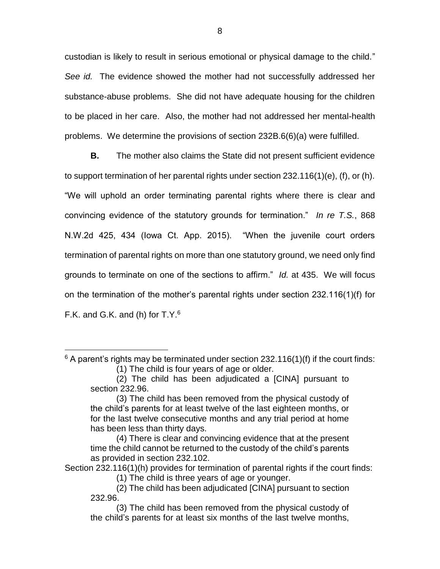custodian is likely to result in serious emotional or physical damage to the child." *See id.* The evidence showed the mother had not successfully addressed her substance-abuse problems. She did not have adequate housing for the children to be placed in her care. Also, the mother had not addressed her mental-health problems. We determine the provisions of section 232B.6(6)(a) were fulfilled.

**B.** The mother also claims the State did not present sufficient evidence to support termination of her parental rights under section 232.116(1)(e), (f), or (h). "We will uphold an order terminating parental rights where there is clear and convincing evidence of the statutory grounds for termination." *In re T.S.*, 868 N.W.2d 425, 434 (Iowa Ct. App. 2015). "When the juvenile court orders termination of parental rights on more than one statutory ground, we need only find grounds to terminate on one of the sections to affirm." *Id.* at 435. We will focus on the termination of the mother's parental rights under section 232.116(1)(f) for F.K. and G.K. and (h) for T.Y. $6$ 

 $\overline{a}$ 

Section 232.116(1)(h) provides for termination of parental rights if the court finds:

 $6$  A parent's rights may be terminated under section 232.116(1)(f) if the court finds: (1) The child is four years of age or older.

<sup>(2)</sup> The child has been adjudicated a [CINA] pursuant to section 232.96.

<sup>(3)</sup> The child has been removed from the physical custody of the child's parents for at least twelve of the last eighteen months, or for the last twelve consecutive months and any trial period at home has been less than thirty days.

<sup>(4)</sup> There is clear and convincing evidence that at the present time the child cannot be returned to the custody of the child's parents as provided in section 232.102.

<sup>(1)</sup> The child is three years of age or younger.

<sup>(2)</sup> The child has been adjudicated [CINA] pursuant to section 232.96.

<sup>(3)</sup> The child has been removed from the physical custody of the child's parents for at least six months of the last twelve months,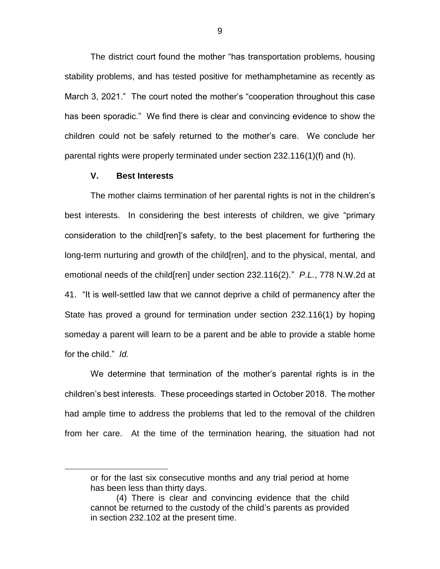The district court found the mother "has transportation problems, housing stability problems, and has tested positive for methamphetamine as recently as March 3, 2021." The court noted the mother's "cooperation throughout this case has been sporadic." We find there is clear and convincing evidence to show the children could not be safely returned to the mother's care. We conclude her parental rights were properly terminated under section 232.116(1)(f) and (h).

### **V. Best Interests**

 $\overline{a}$ 

The mother claims termination of her parental rights is not in the children's best interests. In considering the best interests of children, we give "primary consideration to the child[ren]'s safety, to the best placement for furthering the long-term nurturing and growth of the child[ren], and to the physical, mental, and emotional needs of the child[ren] under section 232.116(2)." *P.L.*, 778 N.W.2d at 41. "It is well-settled law that we cannot deprive a child of permanency after the State has proved a ground for termination under section 232.116(1) by hoping someday a parent will learn to be a parent and be able to provide a stable home for the child." *Id.*

We determine that termination of the mother's parental rights is in the children's best interests. These proceedings started in October 2018. The mother had ample time to address the problems that led to the removal of the children from her care. At the time of the termination hearing, the situation had not

or for the last six consecutive months and any trial period at home has been less than thirty days.

<sup>(4)</sup> There is clear and convincing evidence that the child cannot be returned to the custody of the child's parents as provided in section 232.102 at the present time.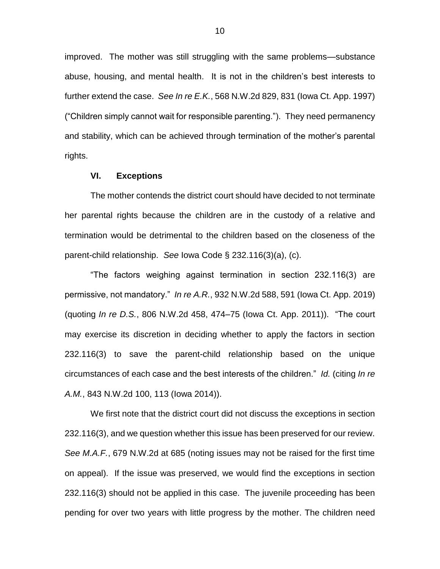improved. The mother was still struggling with the same problems—substance abuse, housing, and mental health. It is not in the children's best interests to further extend the case. *See In re E.K.*, 568 N.W.2d 829, 831 (Iowa Ct. App. 1997) ("Children simply cannot wait for responsible parenting."). They need permanency and stability, which can be achieved through termination of the mother's parental rights.

### **VI. Exceptions**

The mother contends the district court should have decided to not terminate her parental rights because the children are in the custody of a relative and termination would be detrimental to the children based on the closeness of the parent-child relationship. *See* Iowa Code § 232.116(3)(a), (c).

"The factors weighing against termination in section 232.116(3) are permissive, not mandatory." *In re A.R.*, 932 N.W.2d 588, 591 (Iowa Ct. App. 2019) (quoting *In re D.S.*, 806 N.W.2d 458, 474–75 (Iowa Ct. App. 2011)). "The court may exercise its discretion in deciding whether to apply the factors in section 232.116(3) to save the parent-child relationship based on the unique circumstances of each case and the best interests of the children." *Id.* (citing *In re A.M.*, 843 N.W.2d 100, 113 (Iowa 2014)).

We first note that the district court did not discuss the exceptions in section 232.116(3), and we question whether this issue has been preserved for our review. *See M.A.F.*, 679 N.W.2d at 685 (noting issues may not be raised for the first time on appeal). If the issue was preserved, we would find the exceptions in section 232.116(3) should not be applied in this case. The juvenile proceeding has been pending for over two years with little progress by the mother. The children need